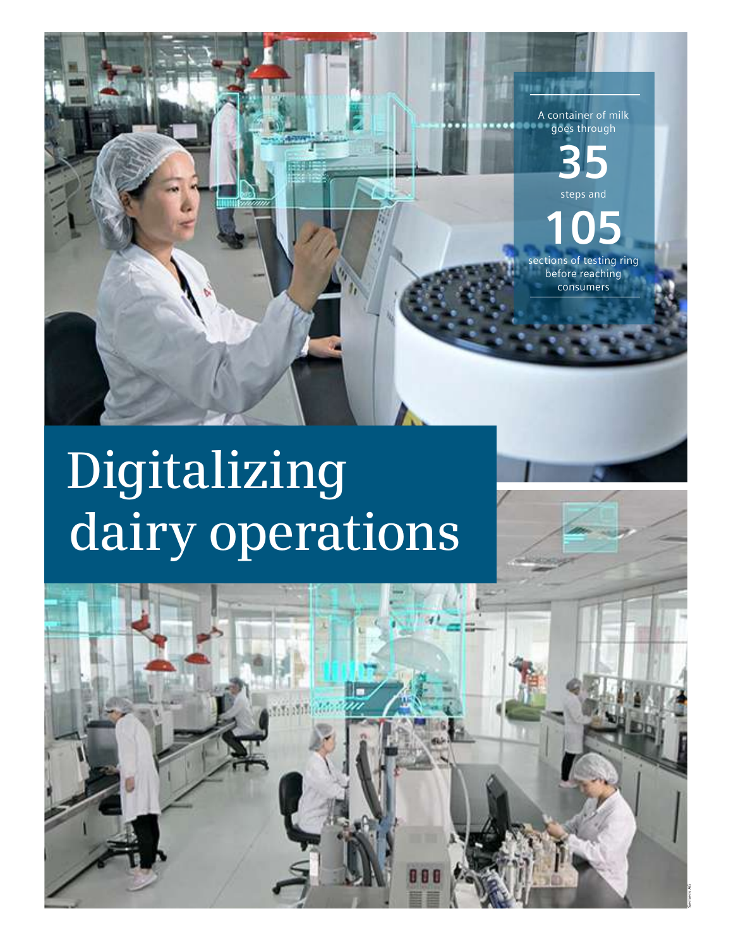

# **Digitalizing dairy operations**